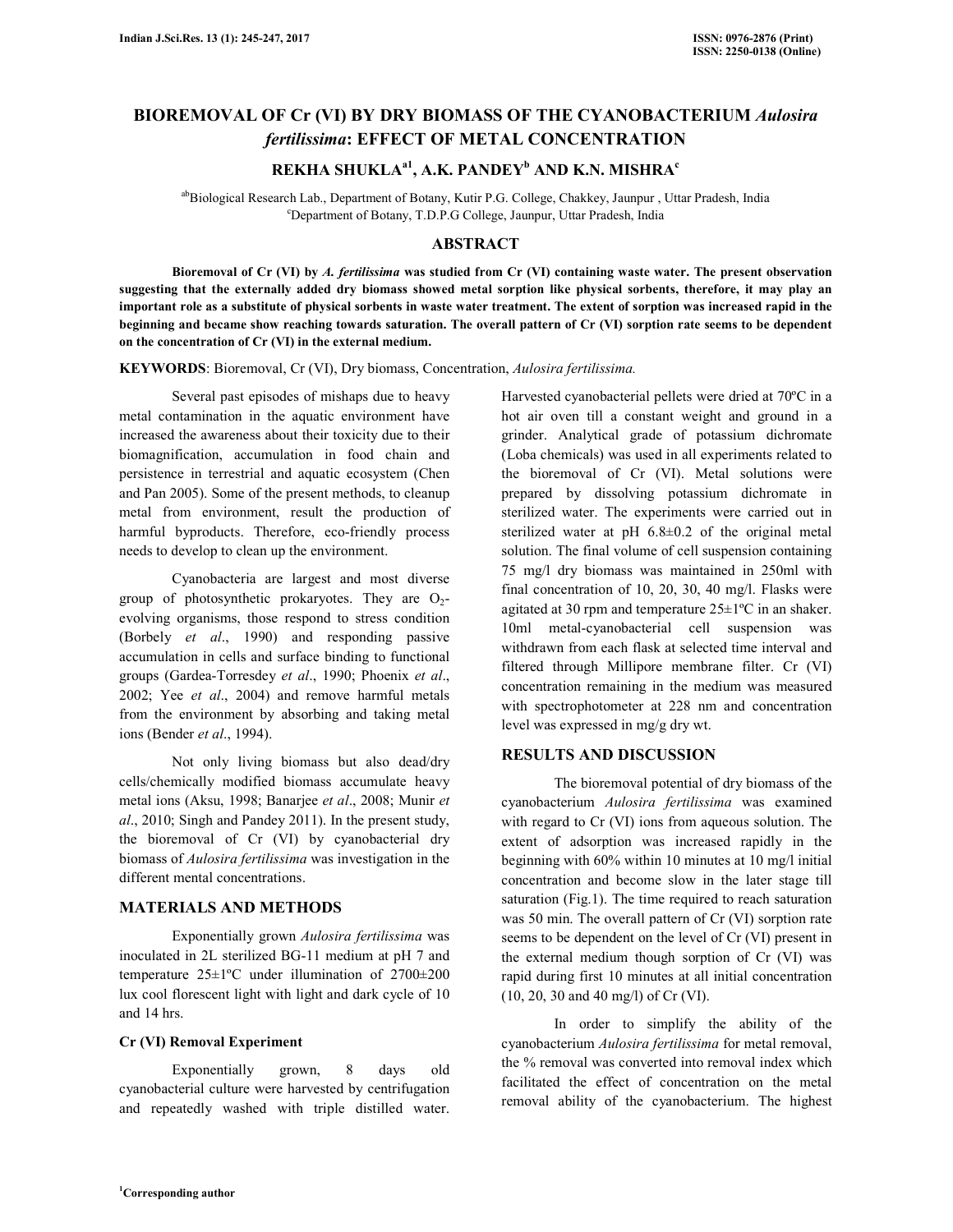# **BIOREMOVAL OF Cr (VI) BY DRY BIOMASS OF THE CYANOBACTERIUM** *Aulosira fertilissima***: EFFECT OF METAL CONCENTRATION**

## **REKHA SHUKLAa1, A.K. PANDEY<sup>b</sup> AND K.N. MISHRA<sup>c</sup>**

abBiological Research Lab., Department of Botany, Kutir P.G. College, Chakkey, Jaunpur, Uttar Pradesh, India <sup>c</sup>Department of Botany, T.D.P.G College, Jaunpur, Uttar Pradesh, India

#### **ABSTRACT**

 **Bioremoval of Cr (VI) by** *A. fertilissima* **was studied from Cr (VI) containing waste water. The present observation suggesting that the externally added dry biomass showed metal sorption like physical sorbents, therefore, it may play an important role as a substitute of physical sorbents in waste water treatment. The extent of sorption was increased rapid in the beginning and became show reaching towards saturation. The overall pattern of Cr (VI) sorption rate seems to be dependent on the concentration of Cr (VI) in the external medium.** 

**KEYWORDS**: Bioremoval, Cr (VI), Dry biomass, Concentration, *Aulosira fertilissima.*

 Several past episodes of mishaps due to heavy metal contamination in the aquatic environment have increased the awareness about their toxicity due to their biomagnification, accumulation in food chain and persistence in terrestrial and aquatic ecosystem (Chen and Pan 2005). Some of the present methods, to cleanup metal from environment, result the production of harmful byproducts. Therefore, eco-friendly process needs to develop to clean up the environment.

 Cyanobacteria are largest and most diverse group of photosynthetic prokaryotes. They are  $O_2$ evolving organisms, those respond to stress condition (Borbely *et al*., 1990) and responding passive accumulation in cells and surface binding to functional groups (Gardea-Torresdey *et al*., 1990; Phoenix *et al*., 2002; Yee *et al*., 2004) and remove harmful metals from the environment by absorbing and taking metal ions (Bender *et al*., 1994).

 Not only living biomass but also dead/dry cells/chemically modified biomass accumulate heavy metal ions (Aksu, 1998; Banarjee *et al*., 2008; Munir *et al*., 2010; Singh and Pandey 2011). In the present study, the bioremoval of Cr (VI) by cyanobacterial dry biomass of *Aulosira fertilissima* was investigation in the different mental concentrations.

## **MATERIALS AND METHODS**

 Exponentially grown *Aulosira fertilissima* was inoculated in 2L sterilized BG-11 medium at pH 7 and temperature 25±1ºC under illumination of 2700±200 lux cool florescent light with light and dark cycle of 10 and 14 hrs.

## **Cr (VI) Removal Experiment**

 Exponentially grown, 8 days old cyanobacterial culture were harvested by centrifugation and repeatedly washed with triple distilled water.

Harvested cyanobacterial pellets were dried at 70ºC in a hot air oven till a constant weight and ground in a grinder. Analytical grade of potassium dichromate (Loba chemicals) was used in all experiments related to the bioremoval of Cr (VI). Metal solutions were prepared by dissolving potassium dichromate in sterilized water. The experiments were carried out in sterilized water at pH 6.8±0.2 of the original metal solution. The final volume of cell suspension containing 75 mg/l dry biomass was maintained in 250ml with final concentration of 10, 20, 30, 40 mg/l. Flasks were agitated at 30 rpm and temperature  $25 \pm 1$ <sup>o</sup>C in an shaker. 10ml metal-cyanobacterial cell suspension was withdrawn from each flask at selected time interval and filtered through Millipore membrane filter. Cr (VI) concentration remaining in the medium was measured with spectrophotometer at 228 nm and concentration level was expressed in mg/g dry wt.

## **RESULTS AND DISCUSSION**

 The bioremoval potential of dry biomass of the cyanobacterium *Aulosira fertilissima* was examined with regard to Cr (VI) ions from aqueous solution. The extent of adsorption was increased rapidly in the beginning with 60% within 10 minutes at 10 mg/l initial concentration and become slow in the later stage till saturation (Fig.1). The time required to reach saturation was 50 min. The overall pattern of Cr (VI) sorption rate seems to be dependent on the level of Cr (VI) present in the external medium though sorption of Cr (VI) was rapid during first 10 minutes at all initial concentration (10, 20, 30 and 40 mg/l) of Cr (VI).

 In order to simplify the ability of the cyanobacterium *Aulosira fertilissima* for metal removal, the % removal was converted into removal index which facilitated the effect of concentration on the metal removal ability of the cyanobacterium. The highest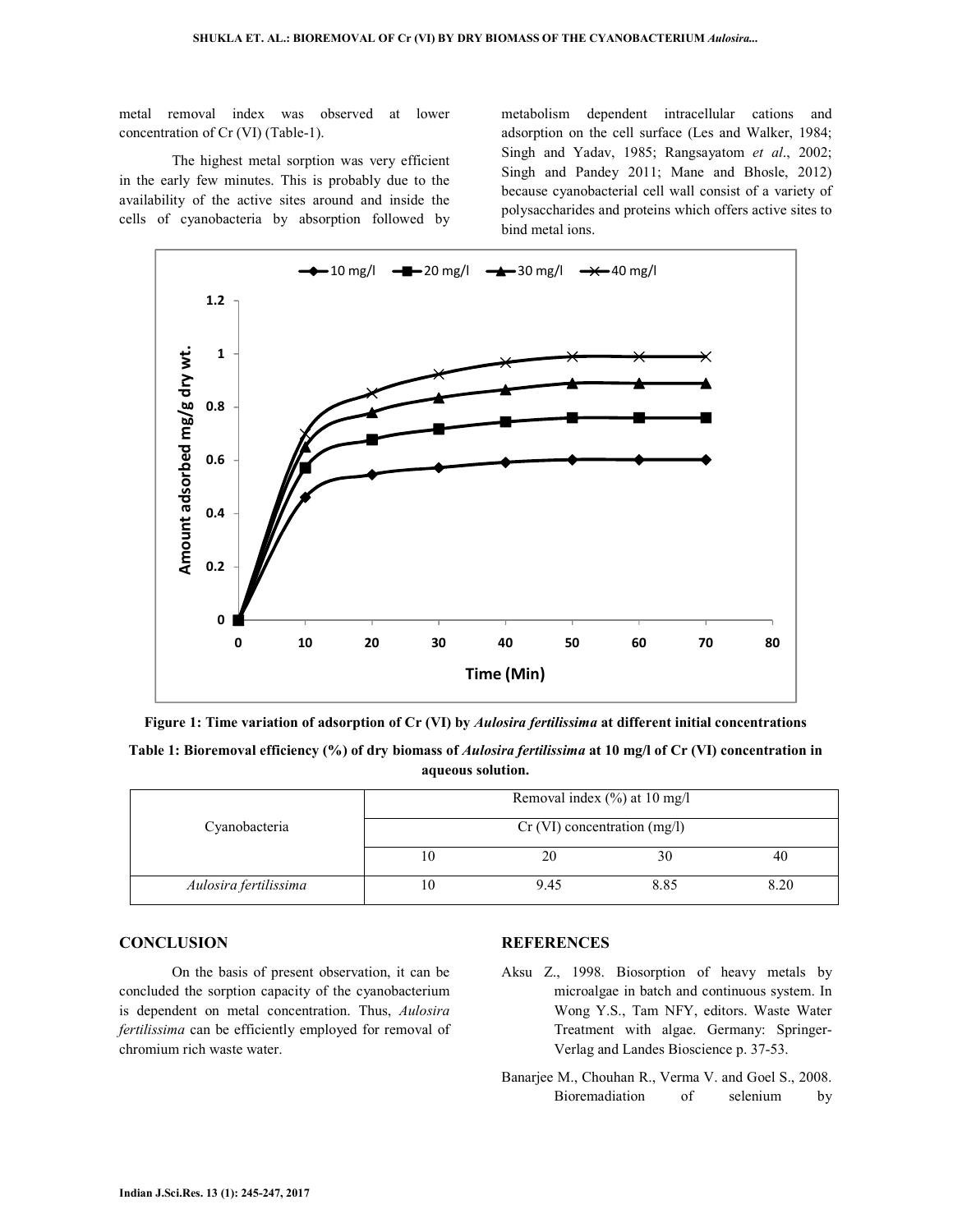metal removal index was observed at lower concentration of Cr (VI) (Table-1).

 The highest metal sorption was very efficient in the early few minutes. This is probably due to the availability of the active sites around and inside the cells of cyanobacteria by absorption followed by metabolism dependent intracellular cations and adsorption on the cell surface (Les and Walker, 1984; Singh and Yadav, 1985; Rangsayatom *et al*., 2002; Singh and Pandey 2011; Mane and Bhosle, 2012) because cyanobacterial cell wall consist of a variety of polysaccharides and proteins which offers active sites to bind metal ions.



**Figure 1: Time variation of adsorption of Cr (VI) by** *Aulosira fertilissima* **at different initial concentrations** 

**Table 1: Bioremoval efficiency (%) of dry biomass of** *Aulosira fertilissima* **at 10 mg/l of Cr (VI) concentration in aqueous solution.** 

| Cyanobacteria         | Removal index $(\% )$ at 10 mg/l |      |      |      |
|-----------------------|----------------------------------|------|------|------|
|                       | $Cr$ (VI) concentration (mg/l)   |      |      |      |
|                       |                                  |      | 30   | 40   |
| Aulosira fertilissima |                                  | 9.45 | 8.85 | 8.20 |

#### **CONCLUSION**

 On the basis of present observation, it can be concluded the sorption capacity of the cyanobacterium is dependent on metal concentration. Thus, *Aulosira fertilissima* can be efficiently employed for removal of chromium rich waste water.

#### **REFERENCES**

- Aksu Z., 1998. Biosorption of heavy metals by microalgae in batch and continuous system. In Wong Y.S., Tam NFY, editors. Waste Water Treatment with algae. Germany: Springer-Verlag and Landes Bioscience p. 37-53.
- Banarjee M., Chouhan R., Verma V. and Goel S., 2008. Bioremadiation of selenium by